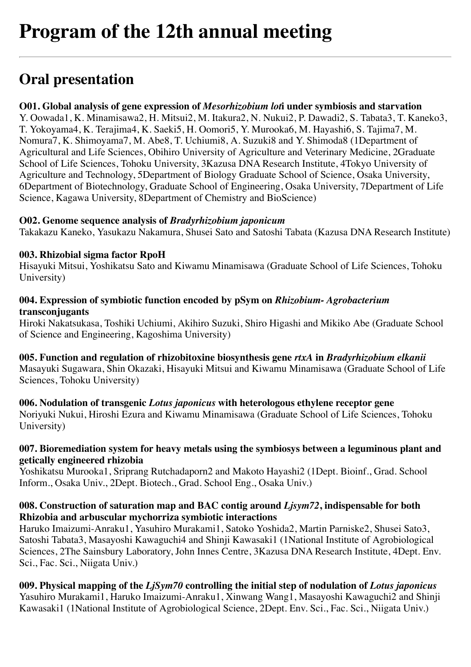# **Oral presentation**

# **O01. Global analysis of gene expression of** *Mesorhizobium lot***i under symbiosis and starvation**

Y. Oowada1, K. Minamisawa2, H. Mitsui2, M. Itakura2, N. Nukui2, P. Dawadi2, S. Tabata3, T. Kaneko3, T. Yokoyama4, K. Terajima4, K. Saeki5, H. Oomori5, Y. Murooka6, M. Hayashi6, S. Tajima7, M. Nomura7, K. Shimoyama7, M. Abe8, T. Uchiumi8, A. Suzuki8 and Y. Shimoda8 (1Department of Agricultural and Life Sciences, Obihiro University of Agriculture and Veterinary Medicine, 2Graduate School of Life Sciences, Tohoku University, 3Kazusa DNA Research Institute, 4Tokyo University of Agriculture and Technology, 5Department of Biology Graduate School of Science, Osaka University, 6Department of Biotechnology, Graduate School of Engineering, Osaka University, 7Department of Life Science, Kagawa University, 8Department of Chemistry and BioScience)

#### **O02. Genome sequence analysis of** *Bradyrhizobium japonicum*

Takakazu Kaneko, Yasukazu Nakamura, Shusei Sato and Satoshi Tabata (Kazusa DNA Research Institute)

# **003. Rhizobial sigma factor RpoH**

Hisayuki Mitsui, Yoshikatsu Sato and Kiwamu Minamisawa (Graduate School of Life Sciences, Tohoku University)

#### **004. Expression of symbiotic function encoded by pSym on** *Rhizobium- Agrobacterium* **transconjugants**

Hiroki Nakatsukasa, Toshiki Uchiumi, Akihiro Suzuki, Shiro Higashi and Mikiko Abe (Graduate School of Science and Engineering, Kagoshima University)

**005. Function and regulation of rhizobitoxine biosynthesis gene** *rtxA* **in** *Bradyrhizobium elkanii* Masayuki Sugawara, Shin Okazaki, Hisayuki Mitsui and Kiwamu Minamisawa (Graduate School of Life Sciences, Tohoku University)

#### **006. Nodulation of transgenic** *Lotus japonicus* **with heterologous ethylene receptor gene** Noriyuki Nukui, Hiroshi Ezura and Kiwamu Minamisawa (Graduate School of Life Sciences, Tohoku University)

# **007. Bioremediation system for heavy metals using the symbiosys between a leguminous plant and getically engineered rhizobia**

Yoshikatsu Murooka1, Sriprang Rutchadaporn2 and Makoto Hayashi2 (1Dept. Bioinf., Grad. School Inform., Osaka Univ., 2Dept. Biotech., Grad. School Eng., Osaka Univ.)

#### **008. Construction of saturation map and BAC contig around** *Ljsym72***, indispensable for both Rhizobia and arbuscular mychorriza symbiotic interactions**

Haruko Imaizumi-Anraku1, Yasuhiro Murakami1, Satoko Yoshida2, Martin Parniske2, Shusei Sato3, Satoshi Tabata3, Masayoshi Kawaguchi4 and Shinji Kawasaki1 (1National Institute of Agrobiological Sciences, 2The Sainsbury Laboratory, John Innes Centre, 3Kazusa DNA Research Institute, 4Dept. Env. Sci., Fac. Sci., Niigata Univ.)

# **009. Physical mapping of the** *LjSym70* **controlling the initial step of nodulation of** *Lotus japonicus*

Yasuhiro Murakami1, Haruko Imaizumi-Anraku1, Xinwang Wang1, Masayoshi Kawaguchi2 and Shinji Kawasaki1 (1National Institute of Agrobiological Science, 2Dept. Env. Sci., Fac. Sci., Niigata Univ.)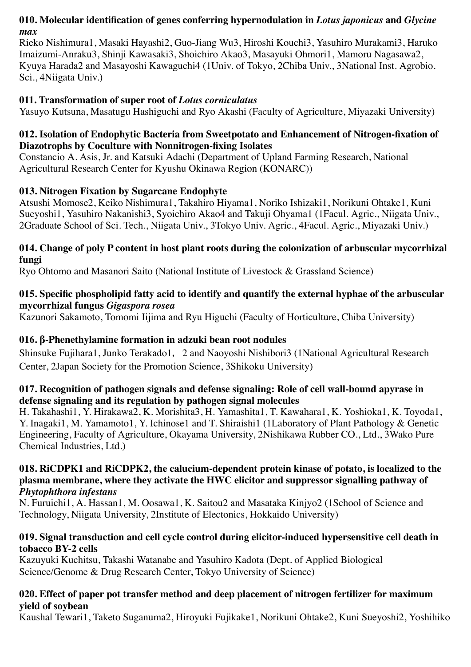# **010. Molecular identification of genes conferring hypernodulation in** *Lotus japonicus* **and** *Glycine max*

Rieko Nishimura1, Masaki Hayashi2, Guo-Jiang Wu3, Hiroshi Kouchi3, Yasuhiro Murakami3, Haruko Imaizumi-Anraku3, Shinji Kawasaki3, Shoichiro Akao3, Masayuki Ohmori1, Mamoru Nagasawa2, Kyuya Harada2 and Masayoshi Kawaguchi4 (1Univ. of Tokyo, 2Chiba Univ., 3National Inst. Agrobio. Sci., 4Niigata Univ.)

# **011. Transformation of super root of** *Lotus corniculatus*

Yasuyo Kutsuna, Masatugu Hashiguchi and Ryo Akashi (Faculty of Agriculture, Miyazaki University)

# **012. Isolation of Endophytic Bacteria from Sweetpotato and Enhancement of Nitrogen-fixation of Diazotrophs by Coculture with Nonnitrogen-fixing Isolates**

Constancio A. Asis, Jr. and Katsuki Adachi (Department of Upland Farming Research, National Agricultural Research Center for Kyushu Okinawa Region (KONARC))

# **013. Nitrogen Fixation by Sugarcane Endophyte**

Atsushi Momose2, Keiko Nishimura1, Takahiro Hiyama1, Noriko Ishizaki1, Norikuni Ohtake1, Kuni Sueyoshi1, Yasuhiro Nakanishi3, Syoichiro Akao4 and Takuji Ohyama1 (1Facul. Agric., Niigata Univ., 2Graduate School of Sci. Tech., Niigata Univ., 3Tokyo Univ. Agric., 4Facul. Agric., Miyazaki Univ.)

#### **014. Change of poly P content in host plant roots during the colonization of arbuscular mycorrhizal fungi**

Ryo Ohtomo and Masanori Saito (National Institute of Livestock & Grassland Science)

# **015. Specific phospholipid fatty acid to identify and quantify the external hyphae of the arbuscular mycorrhizal fungus** *Gigaspora rosea*

Kazunori Sakamoto, Tomomi Iijima and Ryu Higuchi (Faculty of Horticulture, Chiba University)

# **016. β-Phenethylamine formation in adzuki bean root nodules**

Shinsuke Fujihara1, Junko Terakado1, 2 and Naoyoshi Nishibori3 (1National Agricultural Research Center, 2Japan Society for the Promotion Science, 3Shikoku University)

#### **017. Recognition of pathogen signals and defense signaling: Role of cell wall-bound apyrase in defense signaling and its regulation by pathogen signal molecules**

H. Takahashi1, Y. Hirakawa2, K. Morishita3, H. Yamashita1, T. Kawahara1, K. Yoshioka1, K. Toyoda1, Y. Inagaki1, M. Yamamoto1, Y. Ichinose1 and T. Shiraishi1 (1Laboratory of Plant Pathology & Genetic Engineering, Faculty of Agriculture, Okayama University, 2Nishikawa Rubber CO., Ltd., 3Wako Pure Chemical Industries, Ltd.)

#### **018. RiCDPK1 and RiCDPK2, the calucium-dependent protein kinase of potato, is localized to the plasma membrane, where they activate the HWC elicitor and suppressor signalling pathway of** *Phytophthora infestans*

N. Furuichi1, A. Hassan1, M. Oosawa1, K. Saitou2 and Masataka Kinjyo2 (1School of Science and Technology, Niigata University, 2Institute of Electonics, Hokkaido University)

# **019. Signal transduction and cell cycle control during elicitor-induced hypersensitive cell death in tobacco BY-2 cells**

Kazuyuki Kuchitsu, Takashi Watanabe and Yasuhiro Kadota (Dept. of Applied Biological Science/Genome & Drug Research Center, Tokyo University of Science)

#### **020. Effect of paper pot transfer method and deep placement of nitrogen fertilizer for maximum yield of soybean**

Kaushal Tewari1, Taketo Suganuma2, Hiroyuki Fujikake1, Norikuni Ohtake2, Kuni Sueyoshi2, Yoshihiko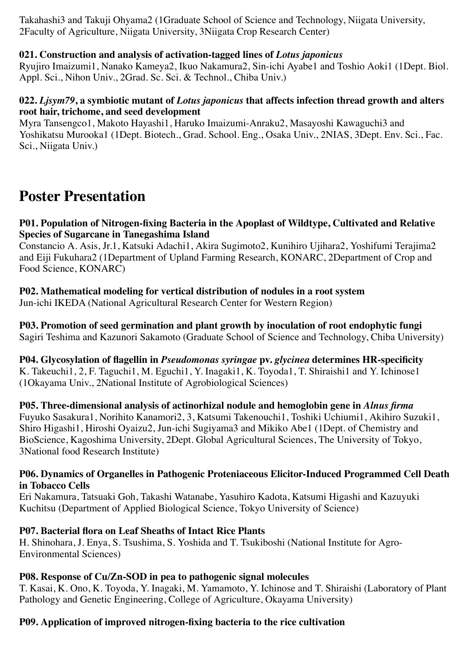Takahashi3 and Takuji Ohyama2 (1Graduate School of Science and Technology, Niigata University, 2Faculty of Agriculture, Niigata University, 3Niigata Crop Research Center)

# **021. Construction and analysis of activation-tagged lines of** *Lotus japonicus*

Ryujiro Imaizumi1, Nanako Kameya2, Ikuo Nakamura2, Sin-ichi Ayabe1 and Toshio Aoki1 (1Dept. Biol. Appl. Sci., Nihon Univ., 2Grad. Sc. Sci. & Technol., Chiba Univ.)

#### **022.** *Ljsym79***, a symbiotic mutant of** *Lotus japonicus* **that affects infection thread growth and alters root hair, trichome, and seed development**

Myra Tansengco1, Makoto Hayashi1, Haruko Imaizumi-Anraku2, Masayoshi Kawaguchi3 and Yoshikatsu Murooka1 (1Dept. Biotech., Grad. School. Eng., Osaka Univ., 2NIAS, 3Dept. Env. Sci., Fac. Sci., Niigata Univ.)

# **Poster Presentation**

#### **P01. Population of Nitrogen-fixing Bacteria in the Apoplast of Wildtype, Cultivated and Relative Species of Sugarcane in Tanegashima Island**

Constancio A. Asis, Jr.1, Katsuki Adachi1, Akira Sugimoto2, Kunihiro Ujihara2, Yoshifumi Terajima2 and Eiji Fukuhara2 (1Department of Upland Farming Research, KONARC, 2Department of Crop and Food Science, KONARC)

#### **P02. Mathematical modeling for vertical distribution of nodules in a root system** Jun-ichi IKEDA (National Agricultural Research Center for Western Region)

**P03. Promotion of seed germination and plant growth by inoculation of root endophytic fungi**

Sagiri Teshima and Kazunori Sakamoto (Graduate School of Science and Technology, Chiba University)

**P04. Glycosylation of flagellin in** *Pseudomonas syringae* **pv.** *glycinea* **determines HR-specificity** K. Takeuchi1, 2, F. Taguchi1, M. Eguchi1, Y. Inagaki1, K. Toyoda1, T. Shiraishi1 and Y. Ichinose1 (1Okayama Univ., 2National Institute of Agrobiological Sciences)

**P05. Three-dimensional analysis of actinorhizal nodule and hemoglobin gene in** *Alnus firma* Fuyuko Sasakura1, Norihito Kanamori2, 3, Katsumi Takenouchi1, Toshiki Uchiumi1, Akihiro Suzuki1, Shiro Higashi1, Hiroshi Oyaizu2, Jun-ichi Sugiyama3 and Mikiko Abe1 (1Dept. of Chemistry and BioScience, Kagoshima University, 2Dept. Global Agricultural Sciences, The University of Tokyo, 3National food Research Institute)

#### **P06. Dynamics of Organelles in Pathogenic Proteniaceous Elicitor-Induced Programmed Cell Death in Tobacco Cells**

Eri Nakamura, Tatsuaki Goh, Takashi Watanabe, Yasuhiro Kadota, Katsumi Higashi and Kazuyuki Kuchitsu (Department of Applied Biological Science, Tokyo University of Science)

# **P07. Bacterial flora on Leaf Sheaths of Intact Rice Plants**

H. Shinohara, J. Enya, S. Tsushima, S. Yoshida and T. Tsukiboshi (National Institute for Agro-Environmental Sciences)

# **P08. Response of Cu/Zn-SOD in pea to pathogenic signal molecules**

T. Kasai, K. Ono, K. Toyoda, Y. Inagaki, M. Yamamoto, Y. Ichinose and T. Shiraishi (Laboratory of Plant Pathology and Genetic Engineering, College of Agriculture, Okayama University)

# **P09. Application of improved nitrogen-fixing bacteria to the rice cultivation**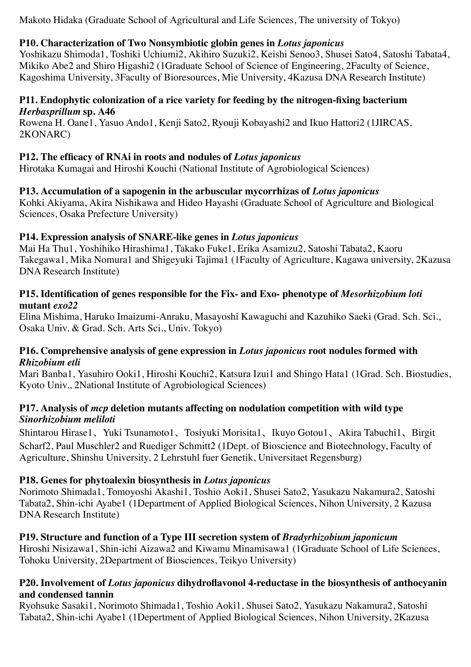Makoto Hidaka (Graduate School of Agricultural and Life Sciences, The university of Tokyo)

# **P10. Characterization of Two Nonsymbiotic globin genes in** *Lotus japonicus*

Yoshikazu Shimoda1, Toshiki Uchiumi2, Akihiro Suzuki2, Keishi Senoo3, Shusei Sato4, Satoshi Tabata4, Mikiko Abe2 and Shiro Higashi2 (1Graduate School of Science of Engineering, 2Faculty of Science, Kagoshima University, 3Faculty of Bioresources, Mie University, 4Kazusa DNA Research Institute)

#### **P11. Endophytic colonization of a rice variety for feeding by the nitrogen-fixing bacterium** *Herbasprillum* **sp. A46**

Rowena H. Oane1, Yasuo Ando1, Kenji Sato2, Ryouji Kobayashi2 and Ikuo Hattori2 (1JIRCAS, 2KONARC)

# **P12. The efficacy of RNAi in roots and nodules of** *Lotus japonicus*

Hirotaka Kumagai and Hiroshi Kouchi (National Institute of Agrobiological Sciences)

# **P13. Accumulation of a sapogenin in the arbuscular mycorrhizas of** *Lotus japonicus*

Kohki Akiyama, Akira Nishikawa and Hideo Hayashi (Graduate School of Agriculture and Biological Sciences, Osaka Prefecture University)

# **P14. Expression analysis of SNARE-like genes in** *Lotus japonicus*

Mai Ha Thu1, Yoshihiko Hirashima1, Takako Fuke1, Erika Asamizu2, Satoshi Tabata2, Kaoru Takegawa1, Mika Nomura1 and Shigeyuki Tajima1 (1Faculty of Agriculture, Kagawa university, 2Kazusa DNA Research Institute)

#### **P15. Identification of genes responsible for the Fix- and Exo- phenotype of** *Mesorhizobium loti* **mutant** *exo22*

Elina Mishima, Haruko Imaizumi-Anraku, Masayoshi Kawaguchi and Kazuhiko Saeki (Grad. Sch. Sci., Osaka Univ. & Grad. Sch. Arts Sci., Univ. Tokyo)

#### **P16. Comprehensive analysis of gene expression in** *Lotus japonicus* **root nodules formed with** *Rhizobium etli*

Mari Banba1, Yasuhiro Ooki1, Hiroshi Kouchi2, Katsura Izui1 and Shingo Hata1 (1Grad. Sch. Biostudies, Kyoto Univ., 2National Institute of Agrobiological Sciences)

#### **P17. Analysis of** *mcp* **deletion mutants affecting on nodulation competition with wild type** *Sinorhizobium meliloti*

Shintarou Hirase1、Yuki Tsunamoto1、Tosiyuki Morisita1、Ikuyo Gotou1、Akira Tabuchi1、Birgit Scharf2, Paul Muschler2 and Ruediger Schmitt2 (1Dept. of Bioscience and Biotechnology, Faculty of Agriculture, Shinshu University, 2 Lehrstuhl fuer Genetik, Universitaet Regensburg)

# **P18. Genes for phytoalexin biosynthesis in** *Lotus japonicus*

Norimoto Shimada1, Tomoyoshi Akashi1, Toshio Aoki1, Shusei Sato2, Yasukazu Nakamura2, Satoshi Tabata2, Shin-ichi Ayabe1 (1Department of Applied Biological Sciences, Nihon University, 2 Kazusa DNA Research Institute)

# **P19. Structure and function of a Type III secretion system of** *Bradyrhizobium japonicum*

Hiroshi Nisizawa1, Shin-ichi Aizawa2 and Kiwamu Minamisawa1 (1Graduate School of Life Sciences, Tohoku University, 2Department of Biosciences, Teikyo University)

#### **P20. Involvement of** *Lotus japonicus* **dihydroflavonol 4-reductase in the biosynthesis of anthocyanin and condensed tannin**

Ryohsuke Sasaki1, Norimoto Shimada1, Toshio Aoki1, Shusei Sato2, Yasukazu Nakamura2, Satoshi Tabata2, Shin-ichi Ayabe1 (1Depertment of Applied Biological Sciences, Nihon University, 2Kazusa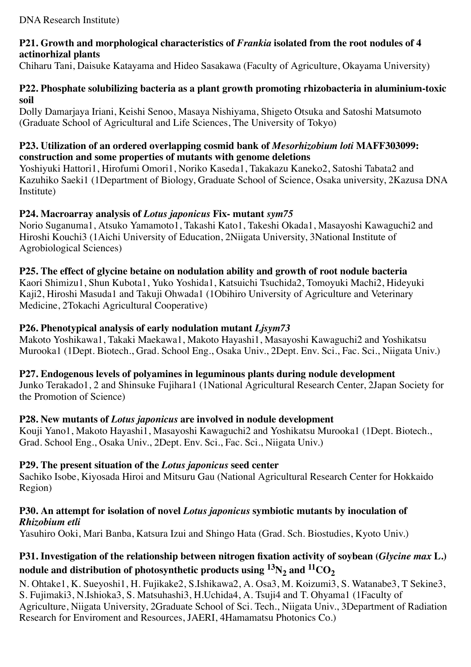#### **P21. Growth and morphological characteristics of** *Frankia* **isolated from the root nodules of 4 actinorhizal plants**

Chiharu Tani, Daisuke Katayama and Hideo Sasakawa (Faculty of Agriculture, Okayama University)

### **P22. Phosphate solubilizing bacteria as a plant growth promoting rhizobacteria in aluminium-toxic soil**

Dolly Damarjaya Iriani, Keishi Senoo, Masaya Nishiyama, Shigeto Otsuka and Satoshi Matsumoto (Graduate School of Agricultural and Life Sciences, The University of Tokyo)

#### **P23. Utilization of an ordered overlapping cosmid bank of** *Mesorhizobium loti* **MAFF303099: construction and some properties of mutants with genome deletions**

Yoshiyuki Hattori1, Hirofumi Omori1, Noriko Kaseda1, Takakazu Kaneko2, Satoshi Tabata2 and Kazuhiko Saeki1 (1Department of Biology, Graduate School of Science, Osaka university, 2Kazusa DNA Institute)

# **P24. Macroarray analysis of** *Lotus japonicus* **Fix- mutant** *sym75*

Norio Suganuma1, Atsuko Yamamoto1, Takashi Kato1, Takeshi Okada1, Masayoshi Kawaguchi2 and Hiroshi Kouchi3 (1Aichi University of Education, 2Niigata University, 3National Institute of Agrobiological Sciences)

# **P25. The effect of glycine betaine on nodulation ability and growth of root nodule bacteria**

Kaori Shimizu1, Shun Kubota1, Yuko Yoshida1, Katsuichi Tsuchida2, Tomoyuki Machi2, Hideyuki Kaji2, Hiroshi Masuda1 and Takuji Ohwada1 (1Obihiro University of Agriculture and Veterinary Medicine, 2Tokachi Agricultural Cooperative)

# **P26. Phenotypical analysis of early nodulation mutant** *Ljsym73*

Makoto Yoshikawa1, Takaki Maekawa1, Makoto Hayashi1, Masayoshi Kawaguchi2 and Yoshikatsu Murooka1 (1Dept. Biotech., Grad. School Eng., Osaka Univ., 2Dept. Env. Sci., Fac. Sci., Niigata Univ.)

#### **P27. Endogenous levels of polyamines in leguminous plants during nodule development**

Junko Terakado1, 2 and Shinsuke Fujihara1 (1National Agricultural Research Center, 2Japan Society for the Promotion of Science)

#### **P28. New mutants of** *Lotus japonicus* **are involved in nodule development**

Kouji Yano1, Makoto Hayashi1, Masayoshi Kawaguchi2 and Yoshikatsu Murooka1 (1Dept. Biotech., Grad. School Eng., Osaka Univ., 2Dept. Env. Sci., Fac. Sci., Niigata Univ.)

#### **P29. The present situation of the** *Lotus japonicus* **seed center**

Sachiko Isobe, Kiyosada Hiroi and Mitsuru Gau (National Agricultural Research Center for Hokkaido Region)

#### **P30. An attempt for isolation of novel** *Lotus japonicus* **symbiotic mutants by inoculation of** *Rhizobium etli*

Yasuhiro Ooki, Mari Banba, Katsura Izui and Shingo Hata (Grad. Sch. Biostudies, Kyoto Univ.)

# **P31. Investigation of the relationship between nitrogen fixation activity of soybean (***Glycine max* **L.)** nodule and distribution of photosynthetic products using  ${}^{13}N_2$  and  ${}^{11}CO_2$

N. Ohtake1, K. Sueyoshi1, H. Fujikake2, S.Ishikawa2, A. Osa3, M. Koizumi3, S. Watanabe3, T Sekine3, S. Fujimaki3, N.Ishioka3, S. Matsuhashi3, H.Uchida4, A. Tsuji4 and T. Ohyama1 (1Faculty of Agriculture, Niigata University, 2Graduate School of Sci. Tech., Niigata Univ., 3Department of Radiation Research for Enviroment and Resources, JAERI, 4Hamamatsu Photonics Co.)